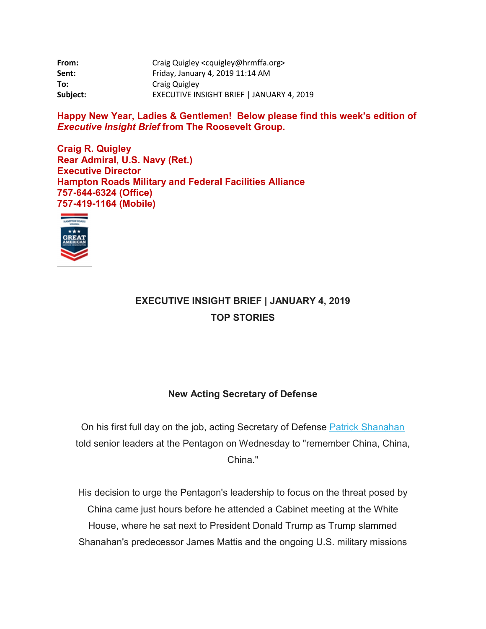| From:    | Craig Quigley <cquigley@hrmffa.org></cquigley@hrmffa.org> |
|----------|-----------------------------------------------------------|
| Sent:    | Friday, January 4, 2019 11:14 AM                          |
| To:      | Craig Quigley                                             |
| Subject: | EXECUTIVE INSIGHT BRIEF   JANUARY 4, 2019                 |

**Happy New Year, Ladies & Gentlemen! Below please find this week's edition of**  *Executive Insight Brief* **from The Roosevelt Group.**

**Craig R. Quigley Rear Admiral, U.S. Navy (Ret.) Executive Director Hampton Roads Military and Federal Facilities Alliance 757-644-6324 (Office) 757-419-1164 (Mobile)**



### **EXECUTIVE INSIGHT BRIEF | JANUARY 4, 2019 TOP STORIES**

### **New Acting Secretary of Defense**

On his first full day on the job, acting Secretary of Defense [Patrick Shanahan](mhtml:file://I:%5C%7EBOS_WEEKLY_INFORMATION%5C2019%5CJanuary%204,%202019%5CGeneral%20Correspondence%5CEXECUTIVE%20INSIGHT%20BRIEF%20%20JANUARY%204%202019.mht!https://rooseveltdc.us12.list-manage.com/track/click?u=322456b7b4ad08c1b4904c407&id=22bc811962&e=5c6d0a3b33) told senior leaders at the Pentagon on Wednesday to "remember China, China, China."

His decision to urge the Pentagon's leadership to focus on the threat posed by China came just hours before he attended a Cabinet meeting at the White House, where he sat next to President Donald Trump as Trump slammed Shanahan's predecessor James Mattis and the ongoing U.S. military missions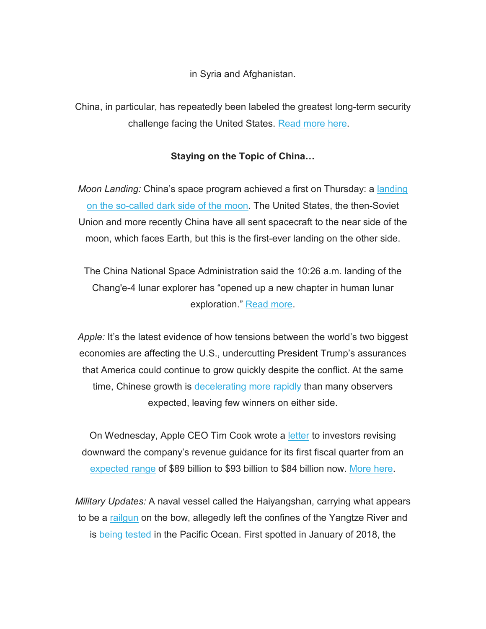in Syria and Afghanistan.

China, in particular, has repeatedly been labeled the greatest long-term security challenge facing the United States. [Read more here.](mhtml:file://I:%5C%7EBOS_WEEKLY_INFORMATION%5C2019%5CJanuary%204,%202019%5CGeneral%20Correspondence%5CEXECUTIVE%20INSIGHT%20BRIEF%20%20JANUARY%204%202019.mht!https://rooseveltdc.us12.list-manage.com/track/click?u=322456b7b4ad08c1b4904c407&id=fdb4a691c1&e=5c6d0a3b33)

### **Staying on the Topic of China…**

*Moon Landing:* China's space program achieved a first on Thursday: a [landing](mhtml:file://I:%5C%7EBOS_WEEKLY_INFORMATION%5C2019%5CJanuary%204,%202019%5CGeneral%20Correspondence%5CEXECUTIVE%20INSIGHT%20BRIEF%20%20JANUARY%204%202019.mht!https://rooseveltdc.us12.list-manage.com/track/click?u=322456b7b4ad08c1b4904c407&id=7b51c72ff4&e=5c6d0a3b33)  [on the so-called dark side of the moon.](mhtml:file://I:%5C%7EBOS_WEEKLY_INFORMATION%5C2019%5CJanuary%204,%202019%5CGeneral%20Correspondence%5CEXECUTIVE%20INSIGHT%20BRIEF%20%20JANUARY%204%202019.mht!https://rooseveltdc.us12.list-manage.com/track/click?u=322456b7b4ad08c1b4904c407&id=7b51c72ff4&e=5c6d0a3b33) The United States, the then-Soviet Union and more recently China have all sent spacecraft to the near side of the moon, which faces Earth, but this is the first-ever landing on the other side.

The China National Space Administration said the 10:26 a.m. landing of the Chang'e-4 lunar explorer has "opened up a new chapter in human lunar exploration." [Read more.](mhtml:file://I:%5C%7EBOS_WEEKLY_INFORMATION%5C2019%5CJanuary%204,%202019%5CGeneral%20Correspondence%5CEXECUTIVE%20INSIGHT%20BRIEF%20%20JANUARY%204%202019.mht!https://rooseveltdc.us12.list-manage.com/track/click?u=322456b7b4ad08c1b4904c407&id=26dafd18a7&e=5c6d0a3b33)

*Apple:* It's the latest evidence of how tensions between the world's two biggest economies are affecting the U.S., undercutting President Trump's assurances that America could continue to grow quickly despite the conflict. At the same time, Chinese growth is [decelerating more rapidly](mhtml:file://I:%5C%7EBOS_WEEKLY_INFORMATION%5C2019%5CJanuary%204,%202019%5CGeneral%20Correspondence%5CEXECUTIVE%20INSIGHT%20BRIEF%20%20JANUARY%204%202019.mht!https://rooseveltdc.us12.list-manage.com/track/click?u=322456b7b4ad08c1b4904c407&id=9a2f483c63&e=5c6d0a3b33) than many observers expected, leaving few winners on either side.

On Wednesday, Apple CEO Tim Cook wrote a [letter](mhtml:file://I:%5C%7EBOS_WEEKLY_INFORMATION%5C2019%5CJanuary%204,%202019%5CGeneral%20Correspondence%5CEXECUTIVE%20INSIGHT%20BRIEF%20%20JANUARY%204%202019.mht!https://rooseveltdc.us12.list-manage.com/track/click?u=322456b7b4ad08c1b4904c407&id=1b25bfc87f&e=5c6d0a3b33) to investors revising downward the company's revenue guidance for its first fiscal quarter from an [expected range](mhtml:file://I:%5C%7EBOS_WEEKLY_INFORMATION%5C2019%5CJanuary%204,%202019%5CGeneral%20Correspondence%5CEXECUTIVE%20INSIGHT%20BRIEF%20%20JANUARY%204%202019.mht!https://rooseveltdc.us12.list-manage.com/track/click?u=322456b7b4ad08c1b4904c407&id=fdd31f8450&e=5c6d0a3b33) of \$89 billion to \$93 billion to \$84 billion now. [More here.](mhtml:file://I:%5C%7EBOS_WEEKLY_INFORMATION%5C2019%5CJanuary%204,%202019%5CGeneral%20Correspondence%5CEXECUTIVE%20INSIGHT%20BRIEF%20%20JANUARY%204%202019.mht!https://rooseveltdc.us12.list-manage.com/track/click?u=322456b7b4ad08c1b4904c407&id=7edf01b17c&e=5c6d0a3b33)

*Military Updates:* A naval vessel called the Haiyangshan, carrying what appears to be a [railgun](mhtml:file://I:%5C%7EBOS_WEEKLY_INFORMATION%5C2019%5CJanuary%204,%202019%5CGeneral%20Correspondence%5CEXECUTIVE%20INSIGHT%20BRIEF%20%20JANUARY%204%202019.mht!https://rooseveltdc.us12.list-manage.com/track/click?u=322456b7b4ad08c1b4904c407&id=4140cfe0e9&e=5c6d0a3b33) on the bow, allegedly left the confines of the Yangtze River and is [being tested](mhtml:file://I:%5C%7EBOS_WEEKLY_INFORMATION%5C2019%5CJanuary%204,%202019%5CGeneral%20Correspondence%5CEXECUTIVE%20INSIGHT%20BRIEF%20%20JANUARY%204%202019.mht!https://rooseveltdc.us12.list-manage.com/track/click?u=322456b7b4ad08c1b4904c407&id=7f71560742&e=5c6d0a3b33) in the Pacific Ocean. First spotted in January of 2018, the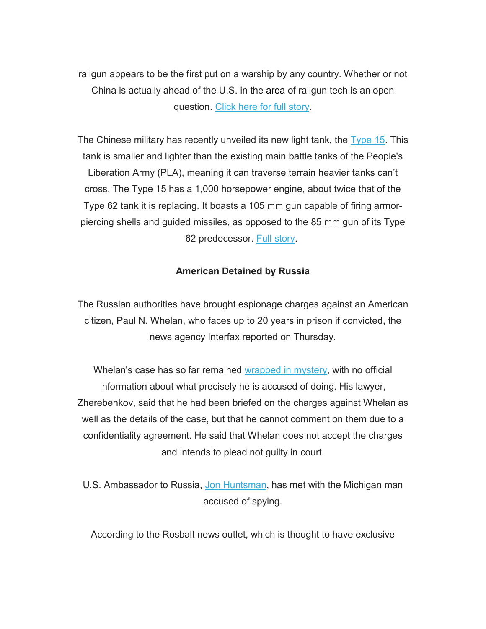railgun appears to be the first put on a warship by any country. Whether or not China is actually ahead of the U.S. in the area of railgun tech is an open question. [Click here for full story.](mhtml:file://I:%5C%7EBOS_WEEKLY_INFORMATION%5C2019%5CJanuary%204,%202019%5CGeneral%20Correspondence%5CEXECUTIVE%20INSIGHT%20BRIEF%20%20JANUARY%204%202019.mht!https://rooseveltdc.us12.list-manage.com/track/click?u=322456b7b4ad08c1b4904c407&id=8f7ce9ce84&e=5c6d0a3b33)

The Chinese military has recently unveiled its new light tank, the [Type 15.](mhtml:file://I:%5C%7EBOS_WEEKLY_INFORMATION%5C2019%5CJanuary%204,%202019%5CGeneral%20Correspondence%5CEXECUTIVE%20INSIGHT%20BRIEF%20%20JANUARY%204%202019.mht!https://rooseveltdc.us12.list-manage.com/track/click?u=322456b7b4ad08c1b4904c407&id=a75b51ed1e&e=5c6d0a3b33) This tank is smaller and lighter than the existing main battle tanks of the People's Liberation Army (PLA), meaning it can traverse terrain heavier tanks can't cross. The Type 15 has a 1,000 horsepower engine, about twice that of the Type 62 tank it is replacing. It boasts a 105 mm gun capable of firing armorpiercing shells and guided missiles, as opposed to the 85 mm gun of its Type 62 predecessor. [Full story.](mhtml:file://I:%5C%7EBOS_WEEKLY_INFORMATION%5C2019%5CJanuary%204,%202019%5CGeneral%20Correspondence%5CEXECUTIVE%20INSIGHT%20BRIEF%20%20JANUARY%204%202019.mht!https://rooseveltdc.us12.list-manage.com/track/click?u=322456b7b4ad08c1b4904c407&id=2d4ac13b58&e=5c6d0a3b33)

### **American Detained by Russia**

The Russian authorities have brought espionage charges against an American citizen, Paul N. Whelan, who faces up to 20 years in prison if convicted, the news agency Interfax reported on Thursday.

Whelan's case has so far remained [wrapped in mystery,](mhtml:file://I:%5C%7EBOS_WEEKLY_INFORMATION%5C2019%5CJanuary%204,%202019%5CGeneral%20Correspondence%5CEXECUTIVE%20INSIGHT%20BRIEF%20%20JANUARY%204%202019.mht!https://rooseveltdc.us12.list-manage.com/track/click?u=322456b7b4ad08c1b4904c407&id=c5439e597a&e=5c6d0a3b33) with no official information about what precisely he is accused of doing. His lawyer, Zherebenkov, said that he had been briefed on the charges against Whelan as well as the details of the case, but that he cannot comment on them due to a confidentiality agreement. He said that Whelan does not accept the charges and intends to plead not guilty in court.

U.S. Ambassador to Russia, [Jon Huntsman,](mhtml:file://I:%5C%7EBOS_WEEKLY_INFORMATION%5C2019%5CJanuary%204,%202019%5CGeneral%20Correspondence%5CEXECUTIVE%20INSIGHT%20BRIEF%20%20JANUARY%204%202019.mht!https://rooseveltdc.us12.list-manage.com/track/click?u=322456b7b4ad08c1b4904c407&id=a5910071bc&e=5c6d0a3b33) has met with the Michigan man accused of spying.

According to the Rosbalt news outlet, which is thought to have exclusive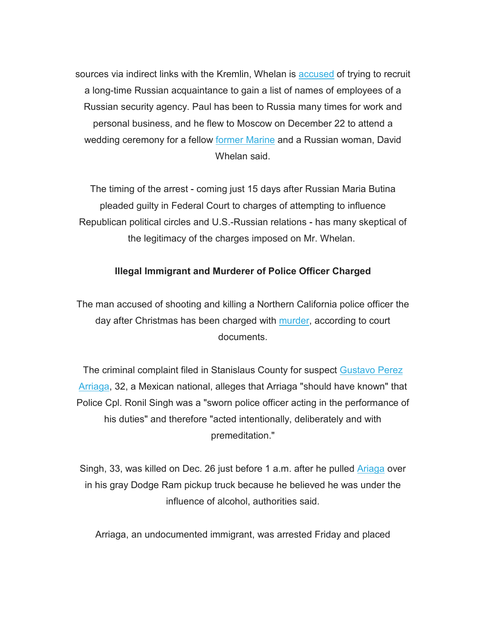sources via indirect links with the Kremlin, Whelan is [accused](mhtml:file://I:%5C%7EBOS_WEEKLY_INFORMATION%5C2019%5CJanuary%204,%202019%5CGeneral%20Correspondence%5CEXECUTIVE%20INSIGHT%20BRIEF%20%20JANUARY%204%202019.mht!https://rooseveltdc.us12.list-manage.com/track/click?u=322456b7b4ad08c1b4904c407&id=c064d8d49b&e=5c6d0a3b33) of trying to recruit a long-time Russian acquaintance to gain a list of names of employees of a Russian security agency. Paul has been to Russia many times for work and personal business, and he flew to Moscow on December 22 to attend a wedding ceremony for a fellow [former Marine](mhtml:file://I:%5C%7EBOS_WEEKLY_INFORMATION%5C2019%5CJanuary%204,%202019%5CGeneral%20Correspondence%5CEXECUTIVE%20INSIGHT%20BRIEF%20%20JANUARY%204%202019.mht!https://rooseveltdc.us12.list-manage.com/track/click?u=322456b7b4ad08c1b4904c407&id=39d5627054&e=5c6d0a3b33) and a Russian woman, David Whelan said.

The timing of the arrest - coming just 15 days after Russian Maria Butina pleaded guilty in Federal Court to charges of attempting to influence Republican political circles and U.S.-Russian relations - has many skeptical of the legitimacy of the charges imposed on Mr. Whelan.

### **Illegal Immigrant and Murderer of Police Officer Charged**

The man accused of shooting and killing a Northern California police officer the day after Christmas has been charged with [murder,](mhtml:file://I:%5C%7EBOS_WEEKLY_INFORMATION%5C2019%5CJanuary%204,%202019%5CGeneral%20Correspondence%5CEXECUTIVE%20INSIGHT%20BRIEF%20%20JANUARY%204%202019.mht!https://rooseveltdc.us12.list-manage.com/track/click?u=322456b7b4ad08c1b4904c407&id=113dee9a4a&e=5c6d0a3b33) according to court documents.

The criminal complaint filed in Stanislaus County for suspect Gustavo Perez [Arriaga,](mhtml:file://I:%5C%7EBOS_WEEKLY_INFORMATION%5C2019%5CJanuary%204,%202019%5CGeneral%20Correspondence%5CEXECUTIVE%20INSIGHT%20BRIEF%20%20JANUARY%204%202019.mht!https://rooseveltdc.us12.list-manage.com/track/click?u=322456b7b4ad08c1b4904c407&id=74e041b958&e=5c6d0a3b33) 32, a Mexican national, alleges that Arriaga "should have known" that Police Cpl. Ronil Singh was a "sworn police officer acting in the performance of his duties" and therefore "acted intentionally, deliberately and with premeditation."

Singh, 33, was killed on Dec. 26 just before 1 a.m. after he pulled [Ariaga](mhtml:file://I:%5C%7EBOS_WEEKLY_INFORMATION%5C2019%5CJanuary%204,%202019%5CGeneral%20Correspondence%5CEXECUTIVE%20INSIGHT%20BRIEF%20%20JANUARY%204%202019.mht!https://rooseveltdc.us12.list-manage.com/track/click?u=322456b7b4ad08c1b4904c407&id=75b7ce5dc4&e=5c6d0a3b33) over in his gray Dodge Ram pickup truck because he believed he was under the influence of alcohol, authorities said.

Arriaga, an undocumented immigrant, was arrested Friday and placed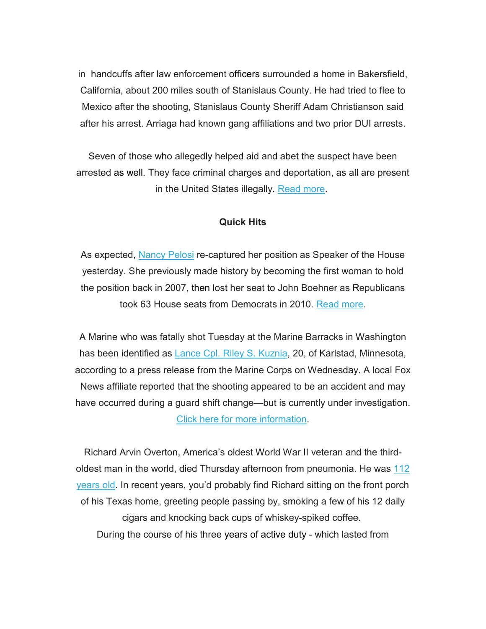in handcuffs after law enforcement officers surrounded a home in Bakersfield, California, about 200 miles south of Stanislaus County. He had tried to flee to Mexico after the shooting, Stanislaus County Sheriff Adam Christianson said after his arrest. Arriaga had known gang affiliations and two prior DUI arrests.

Seven of those who allegedly helped aid and abet the suspect have been arrested as well. They face criminal charges and deportation, as all are present in the United States illegally. [Read more.](mhtml:file://I:%5C%7EBOS_WEEKLY_INFORMATION%5C2019%5CJanuary%204,%202019%5CGeneral%20Correspondence%5CEXECUTIVE%20INSIGHT%20BRIEF%20%20JANUARY%204%202019.mht!https://rooseveltdc.us12.list-manage.com/track/click?u=322456b7b4ad08c1b4904c407&id=7a0530456f&e=5c6d0a3b33)

#### **Quick Hits**

As expected, [Nancy Pelosi](mhtml:file://I:%5C%7EBOS_WEEKLY_INFORMATION%5C2019%5CJanuary%204,%202019%5CGeneral%20Correspondence%5CEXECUTIVE%20INSIGHT%20BRIEF%20%20JANUARY%204%202019.mht!https://rooseveltdc.us12.list-manage.com/track/click?u=322456b7b4ad08c1b4904c407&id=4915445989&e=5c6d0a3b33) re-captured her position as Speaker of the House yesterday. She previously made history by becoming the first woman to hold the position back in 2007, then lost her seat to John Boehner as Republicans took 63 House seats from Democrats in 2010. [Read more.](mhtml:file://I:%5C%7EBOS_WEEKLY_INFORMATION%5C2019%5CJanuary%204,%202019%5CGeneral%20Correspondence%5CEXECUTIVE%20INSIGHT%20BRIEF%20%20JANUARY%204%202019.mht!https://rooseveltdc.us12.list-manage.com/track/click?u=322456b7b4ad08c1b4904c407&id=e4d1be407a&e=5c6d0a3b33)

A Marine who was fatally shot Tuesday at the Marine Barracks in Washington has been identified as [Lance Cpl. Riley S. Kuznia,](mhtml:file://I:%5C%7EBOS_WEEKLY_INFORMATION%5C2019%5CJanuary%204,%202019%5CGeneral%20Correspondence%5CEXECUTIVE%20INSIGHT%20BRIEF%20%20JANUARY%204%202019.mht!https://rooseveltdc.us12.list-manage.com/track/click?u=322456b7b4ad08c1b4904c407&id=d5752bb165&e=5c6d0a3b33) 20, of Karlstad, Minnesota, according to a press release from the Marine Corps on Wednesday. A local Fox News affiliate reported that the shooting appeared to be an accident and may have occurred during a guard shift change—but is currently under investigation. [Click here for more information.](mhtml:file://I:%5C%7EBOS_WEEKLY_INFORMATION%5C2019%5CJanuary%204,%202019%5CGeneral%20Correspondence%5CEXECUTIVE%20INSIGHT%20BRIEF%20%20JANUARY%204%202019.mht!https://rooseveltdc.us12.list-manage.com/track/click?u=322456b7b4ad08c1b4904c407&id=67086ec2fd&e=5c6d0a3b33)

Richard Arvin Overton, America's oldest World War II veteran and the thirdoldest man in the world, died Thursday afternoon from pneumonia. He was 112 [years old.](mhtml:file://I:%5C%7EBOS_WEEKLY_INFORMATION%5C2019%5CJanuary%204,%202019%5CGeneral%20Correspondence%5CEXECUTIVE%20INSIGHT%20BRIEF%20%20JANUARY%204%202019.mht!https://rooseveltdc.us12.list-manage.com/track/click?u=322456b7b4ad08c1b4904c407&id=ebb895eee9&e=5c6d0a3b33) In recent years, you'd probably find Richard sitting on the front porch of his Texas home, greeting people passing by, smoking a few of his 12 daily cigars and knocking back cups of whiskey-spiked coffee. During the course of his three years of active duty - which lasted from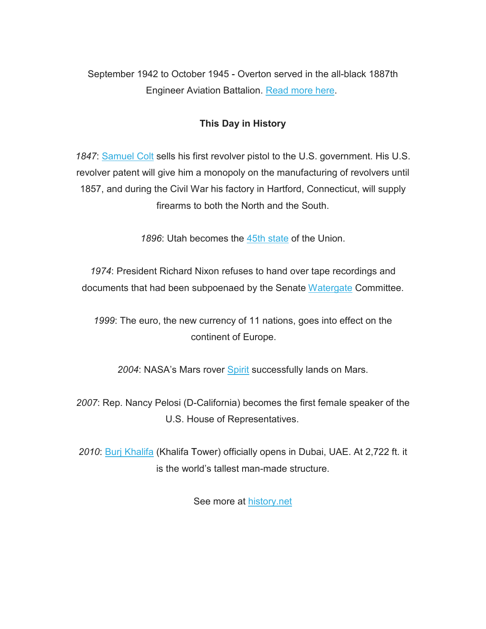September 1942 to October 1945 - Overton served in the all-black 1887th Engineer Aviation Battalion. [Read more here.](mhtml:file://I:%5C%7EBOS_WEEKLY_INFORMATION%5C2019%5CJanuary%204,%202019%5CGeneral%20Correspondence%5CEXECUTIVE%20INSIGHT%20BRIEF%20%20JANUARY%204%202019.mht!https://rooseveltdc.us12.list-manage.com/track/click?u=322456b7b4ad08c1b4904c407&id=a59f987e98&e=5c6d0a3b33)

### **This Day in History**

*1847*: [Samuel Colt](mhtml:file://I:%5C%7EBOS_WEEKLY_INFORMATION%5C2019%5CJanuary%204,%202019%5CGeneral%20Correspondence%5CEXECUTIVE%20INSIGHT%20BRIEF%20%20JANUARY%204%202019.mht!https://rooseveltdc.us12.list-manage.com/track/click?u=322456b7b4ad08c1b4904c407&id=a167f971e6&e=5c6d0a3b33) sells his first revolver pistol to the U.S. government. His U.S. revolver patent will give him a monopoly on the manufacturing of revolvers until 1857, and during the Civil War his factory in Hartford, Connecticut, will supply firearms to both the North and the South.

1896: Utah becomes the [45th state](mhtml:file://I:%5C%7EBOS_WEEKLY_INFORMATION%5C2019%5CJanuary%204,%202019%5CGeneral%20Correspondence%5CEXECUTIVE%20INSIGHT%20BRIEF%20%20JANUARY%204%202019.mht!https://rooseveltdc.us12.list-manage.com/track/click?u=322456b7b4ad08c1b4904c407&id=9cb7cfee2f&e=5c6d0a3b33) of the Union.

*1974*: President Richard Nixon refuses to hand over tape recordings and documents that had been subpoenaed by the Senate [Watergate](mhtml:file://I:%5C%7EBOS_WEEKLY_INFORMATION%5C2019%5CJanuary%204,%202019%5CGeneral%20Correspondence%5CEXECUTIVE%20INSIGHT%20BRIEF%20%20JANUARY%204%202019.mht!https://rooseveltdc.us12.list-manage.com/track/click?u=322456b7b4ad08c1b4904c407&id=ee2e43e50a&e=5c6d0a3b33) Committee.

*1999*: The euro, the new currency of 11 nations, goes into effect on the continent of Europe.

*2004*: NASA's Mars rover [Spirit](mhtml:file://I:%5C%7EBOS_WEEKLY_INFORMATION%5C2019%5CJanuary%204,%202019%5CGeneral%20Correspondence%5CEXECUTIVE%20INSIGHT%20BRIEF%20%20JANUARY%204%202019.mht!https://rooseveltdc.us12.list-manage.com/track/click?u=322456b7b4ad08c1b4904c407&id=9ad8ce67ed&e=5c6d0a3b33) successfully lands on Mars.

*2007*: Rep. Nancy Pelosi (D-California) becomes the first female speaker of the U.S. House of Representatives.

*2010*: [Burj Khalifa](mhtml:file://I:%5C%7EBOS_WEEKLY_INFORMATION%5C2019%5CJanuary%204,%202019%5CGeneral%20Correspondence%5CEXECUTIVE%20INSIGHT%20BRIEF%20%20JANUARY%204%202019.mht!https://rooseveltdc.us12.list-manage.com/track/click?u=322456b7b4ad08c1b4904c407&id=ebecc1ae8d&e=5c6d0a3b33) (Khalifa Tower) officially opens in Dubai, UAE. At 2,722 ft. it is the world's tallest man-made structure.

See more at [history.net](mhtml:file://I:%5C%7EBOS_WEEKLY_INFORMATION%5C2019%5CJanuary%204,%202019%5CGeneral%20Correspondence%5CEXECUTIVE%20INSIGHT%20BRIEF%20%20JANUARY%204%202019.mht!https://rooseveltdc.us12.list-manage.com/track/click?u=322456b7b4ad08c1b4904c407&id=0a8ac7637e&e=5c6d0a3b33)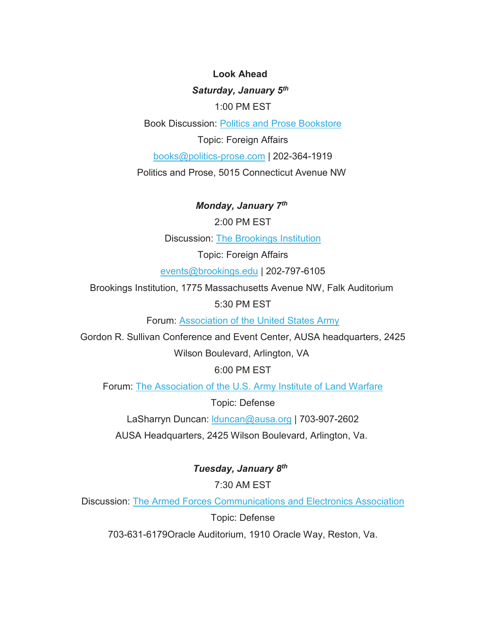**Look Ahead**  *Saturday, January 5th* 1:00 PM EST

Book Discussion: [Politics and Prose Bookstore](mhtml:file://I:%5C%7EBOS_WEEKLY_INFORMATION%5C2019%5CJanuary%204,%202019%5CGeneral%20Correspondence%5CEXECUTIVE%20INSIGHT%20BRIEF%20%20JANUARY%204%202019.mht!https://rooseveltdc.us12.list-manage.com/track/click?u=322456b7b4ad08c1b4904c407&id=c0e27a4975&e=5c6d0a3b33)

Topic: Foreign Affairs

[books@politics-prose.com](mailto:books@politics-prose.com) | 202-364-1919

Politics and Prose, 5015 Connecticut Avenue NW

*Monday, January 7th*

2:00 PM EST

Discussion: [The Brookings Institution](mhtml:file://I:%5C%7EBOS_WEEKLY_INFORMATION%5C2019%5CJanuary%204,%202019%5CGeneral%20Correspondence%5CEXECUTIVE%20INSIGHT%20BRIEF%20%20JANUARY%204%202019.mht!https://rooseveltdc.us12.list-manage.com/track/click?u=322456b7b4ad08c1b4904c407&id=10b69c203f&e=5c6d0a3b33)

Topic: Foreign Affairs

[events@brookings.edu](mailto:events@brookings.edu) | 202-797-6105

Brookings Institution, 1775 Massachusetts Avenue NW, Falk Auditorium

5:30 PM EST

Forum: [Association of the United States Army](mhtml:file://I:%5C%7EBOS_WEEKLY_INFORMATION%5C2019%5CJanuary%204,%202019%5CGeneral%20Correspondence%5CEXECUTIVE%20INSIGHT%20BRIEF%20%20JANUARY%204%202019.mht!https://rooseveltdc.us12.list-manage.com/track/click?u=322456b7b4ad08c1b4904c407&id=9a74c48f9c&e=5c6d0a3b33)

Gordon R. Sullivan Conference and Event Center, AUSA headquarters, 2425

Wilson Boulevard, Arlington, VA

6:00 PM EST

Forum: [The Association of the U.S. Army Institute of Land Warfare](mhtml:file://I:%5C%7EBOS_WEEKLY_INFORMATION%5C2019%5CJanuary%204,%202019%5CGeneral%20Correspondence%5CEXECUTIVE%20INSIGHT%20BRIEF%20%20JANUARY%204%202019.mht!https://rooseveltdc.us12.list-manage.com/track/click?u=322456b7b4ad08c1b4904c407&id=83d0fd4a1b&e=5c6d0a3b33)

Topic: Defense

LaSharryn Duncan: [lduncan@ausa.org](mailto:lduncan@ausa.org) | 703-907-2602

AUSA Headquarters, 2425 Wilson Boulevard, Arlington, Va.

*Tuesday, January 8th*

7:30 AM EST

Discussion: [The Armed Forces Communications and Electronics Association](mhtml:file://I:%5C%7EBOS_WEEKLY_INFORMATION%5C2019%5CJanuary%204,%202019%5CGeneral%20Correspondence%5CEXECUTIVE%20INSIGHT%20BRIEF%20%20JANUARY%204%202019.mht!https://rooseveltdc.us12.list-manage.com/track/click?u=322456b7b4ad08c1b4904c407&id=fe7f8e4668&e=5c6d0a3b33)

Topic: Defense

703-631-6179Oracle Auditorium, 1910 Oracle Way, Reston, Va.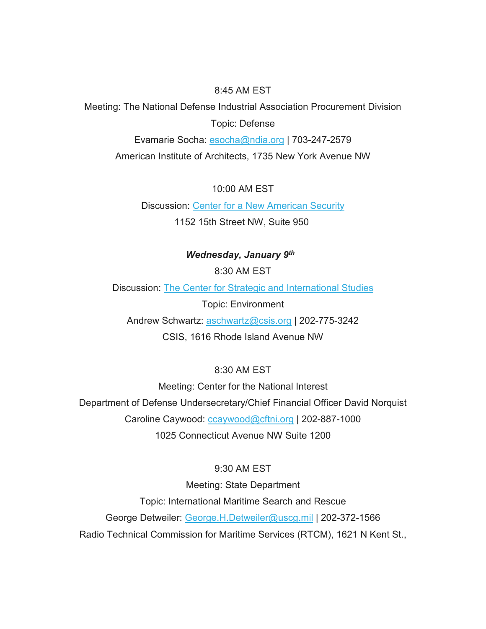#### 8:45 AM EST

Meeting: The National Defense Industrial Association Procurement Division Topic: Defense

Evamarie Socha: [esocha@ndia.org](mailto:esocha@ndia.org) | 703-247-2579 American Institute of Architects, 1735 New York Avenue NW

10:00 AM EST

Discussion: [Center for a New American Security](mhtml:file://I:%5C%7EBOS_WEEKLY_INFORMATION%5C2019%5CJanuary%204,%202019%5CGeneral%20Correspondence%5CEXECUTIVE%20INSIGHT%20BRIEF%20%20JANUARY%204%202019.mht!https://rooseveltdc.us12.list-manage.com/track/click?u=322456b7b4ad08c1b4904c407&id=667bcd5e60&e=5c6d0a3b33) 1152 15th Street NW, Suite 950

### *Wednesday, January 9th*

8:30 AM EST

Discussion: [The Center for Strategic and International Studies](mhtml:file://I:%5C%7EBOS_WEEKLY_INFORMATION%5C2019%5CJanuary%204,%202019%5CGeneral%20Correspondence%5CEXECUTIVE%20INSIGHT%20BRIEF%20%20JANUARY%204%202019.mht!https://rooseveltdc.us12.list-manage.com/track/click?u=322456b7b4ad08c1b4904c407&id=3dc134d461&e=5c6d0a3b33)

Topic: Environment

Andrew Schwartz: [aschwartz@csis.org](mailto:aschwartz@csis.org) | 202-775-3242

CSIS, 1616 Rhode Island Avenue NW

### 8:30 AM EST

Meeting: Center for the National Interest Department of Defense Undersecretary/Chief Financial Officer David Norquist Caroline Caywood: [ccaywood@cftni.org](mailto:ccaywood@cftni.org) | 202-887-1000 1025 Connecticut Avenue NW Suite 1200

### 9:30 AM EST

Meeting: State Department Topic: International Maritime Search and Rescue George Detweiler: [George.H.Detweiler@uscg.mil](mailto:George.H.Detweiler@uscg.mil) | 202-372-1566 Radio Technical Commission for Maritime Services (RTCM), 1621 N Kent St.,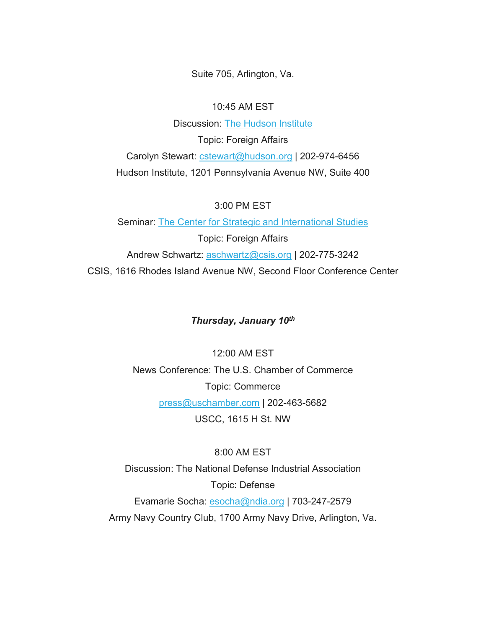Suite 705, Arlington, Va.

#### 10:45 AM EST

Discussion: [The Hudson Institute](mhtml:file://I:%5C%7EBOS_WEEKLY_INFORMATION%5C2019%5CJanuary%204,%202019%5CGeneral%20Correspondence%5CEXECUTIVE%20INSIGHT%20BRIEF%20%20JANUARY%204%202019.mht!https://rooseveltdc.us12.list-manage.com/track/click?u=322456b7b4ad08c1b4904c407&id=5cebc5bdf1&e=5c6d0a3b33) Topic: Foreign Affairs Carolyn Stewart: [cstewart@hudson.org](mailto:cstewart@hudson.org) | 202-974-6456 Hudson Institute, 1201 Pennsylvania Avenue NW, Suite 400

#### 3:00 PM EST

Seminar: [The Center for Strategic and International Studies](mhtml:file://I:%5C%7EBOS_WEEKLY_INFORMATION%5C2019%5CJanuary%204,%202019%5CGeneral%20Correspondence%5CEXECUTIVE%20INSIGHT%20BRIEF%20%20JANUARY%204%202019.mht!https://rooseveltdc.us12.list-manage.com/track/click?u=322456b7b4ad08c1b4904c407&id=70774e96d9&e=5c6d0a3b33) Topic: Foreign Affairs Andrew Schwartz: [aschwartz@csis.org](mailto:aschwartz@csis.org) | 202-775-3242 CSIS, 1616 Rhodes Island Avenue NW, Second Floor Conference Center

#### *Thursday, January 10th*

12:00 AM EST News Conference: The U.S. Chamber of Commerce Topic: Commerce [press@uschamber.com](mailto:press@uschamber.com) | 202-463-5682 USCC, 1615 H St. NW

8:00 AM EST Discussion: The National Defense Industrial Association Topic: Defense Evamarie Socha: [esocha@ndia.org](mailto:esocha@ndia.org) | 703-247-2579 Army Navy Country Club, 1700 Army Navy Drive, Arlington, Va.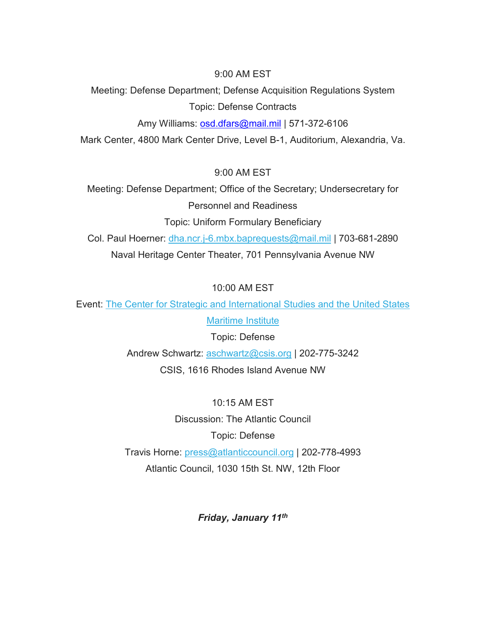9:00 AM EST

Meeting: Defense Department; Defense Acquisition Regulations System Topic: Defense Contracts

Amy Williams: [osd.dfars@mail.mil](mailto:osd.dfars@mail.mil) | 571-372-6106

Mark Center, 4800 Mark Center Drive, Level B-1, Auditorium, Alexandria, Va.

9:00 AM EST

Meeting: Defense Department; Office of the Secretary; Undersecretary for Personnel and Readiness

Topic: Uniform Formulary Beneficiary

Col. Paul Hoerner: [dha.ncr.j-6.mbx.baprequests@mail.mil](mailto:dha.ncr.j-6.mbx.baprequests@mail.mil) | 703-681-2890 Naval Heritage Center Theater, 701 Pennsylvania Avenue NW

10:00 AM EST

Event: [The Center for Strategic and International Studies and the United States](mhtml:file://I:%5C%7EBOS_WEEKLY_INFORMATION%5C2019%5CJanuary%204,%202019%5CGeneral%20Correspondence%5CEXECUTIVE%20INSIGHT%20BRIEF%20%20JANUARY%204%202019.mht!https://rooseveltdc.us12.list-manage.com/track/click?u=322456b7b4ad08c1b4904c407&id=e78af7b42e&e=5c6d0a3b33) 

**[Maritime Institute](mhtml:file://I:%5C%7EBOS_WEEKLY_INFORMATION%5C2019%5CJanuary%204,%202019%5CGeneral%20Correspondence%5CEXECUTIVE%20INSIGHT%20BRIEF%20%20JANUARY%204%202019.mht!https://rooseveltdc.us12.list-manage.com/track/click?u=322456b7b4ad08c1b4904c407&id=e78af7b42e&e=5c6d0a3b33)** 

Topic: Defense

Andrew Schwartz: [aschwartz@csis.org](mailto:aschwartz@csis.org) | 202-775-3242 CSIS, 1616 Rhodes Island Avenue NW

10:15 AM EST Discussion: The Atlantic Council Topic: Defense Travis Horne: [press@atlanticcouncil.org](mailto:press@atlanticcouncil.org) | 202-778-4993 Atlantic Council, 1030 15th St. NW, 12th Floor

*Friday, January 11th*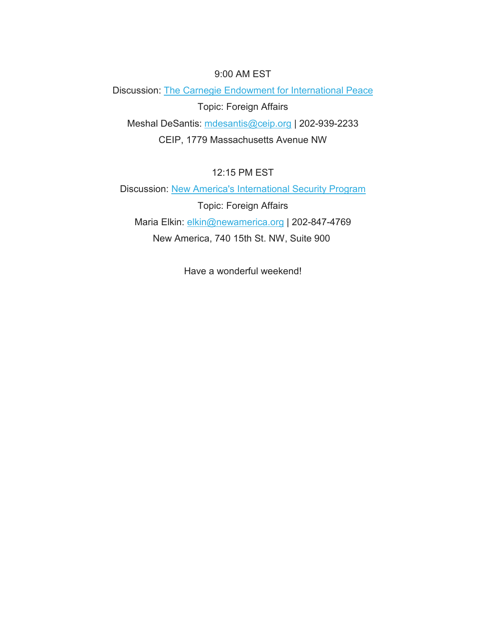#### 9:00 AM EST

Discussion: [The Carnegie Endowment for International Peace](mhtml:file://I:%5C%7EBOS_WEEKLY_INFORMATION%5C2019%5CJanuary%204,%202019%5CGeneral%20Correspondence%5CEXECUTIVE%20INSIGHT%20BRIEF%20%20JANUARY%204%202019.mht!https://rooseveltdc.us12.list-manage.com/track/click?u=322456b7b4ad08c1b4904c407&id=630d4893ee&e=5c6d0a3b33) Topic: Foreign Affairs Meshal DeSantis: [mdesantis@ceip.org](mailto:mdesantis@ceip.org) | 202-939-2233 CEIP, 1779 Massachusetts Avenue NW

12:15 PM EST

Discussion: [New America's International Security Program](mhtml:file://I:%5C%7EBOS_WEEKLY_INFORMATION%5C2019%5CJanuary%204,%202019%5CGeneral%20Correspondence%5CEXECUTIVE%20INSIGHT%20BRIEF%20%20JANUARY%204%202019.mht!https://rooseveltdc.us12.list-manage.com/track/click?u=322456b7b4ad08c1b4904c407&id=33e604c41d&e=5c6d0a3b33) Topic: Foreign Affairs Maria Elkin: [elkin@newamerica.org](mailto:elkin@newamerica.org) | 202-847-4769 New America, 740 15th St. NW, Suite 900

Have a wonderful weekend!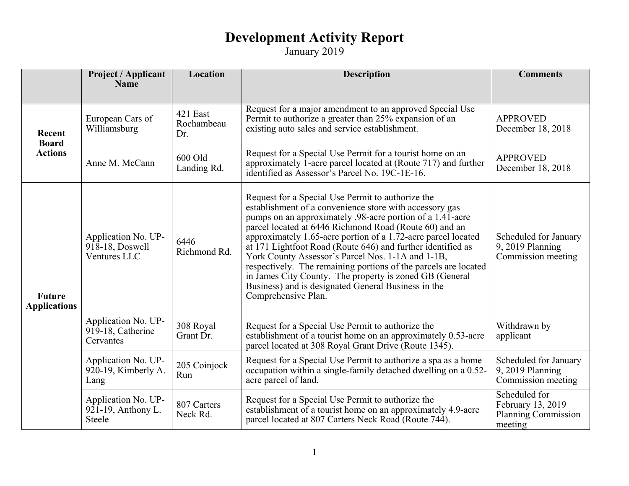|                                      | <b>Project / Applicant</b><br><b>Name</b>              | Location                      | <b>Description</b>                                                                                                                                                                                                                                                                                                                                                                                                                                                                                                                                                                                                                   | <b>Comments</b>                                                      |
|--------------------------------------|--------------------------------------------------------|-------------------------------|--------------------------------------------------------------------------------------------------------------------------------------------------------------------------------------------------------------------------------------------------------------------------------------------------------------------------------------------------------------------------------------------------------------------------------------------------------------------------------------------------------------------------------------------------------------------------------------------------------------------------------------|----------------------------------------------------------------------|
|                                      |                                                        |                               |                                                                                                                                                                                                                                                                                                                                                                                                                                                                                                                                                                                                                                      |                                                                      |
| Recent<br><b>Board</b>               | European Cars of<br>Williamsburg                       | 421 East<br>Rochambeau<br>Dr. | Request for a major amendment to an approved Special Use<br>Permit to authorize a greater than 25% expansion of an<br>existing auto sales and service establishment.                                                                                                                                                                                                                                                                                                                                                                                                                                                                 | <b>APPROVED</b><br>December 18, 2018                                 |
| <b>Actions</b>                       | Anne M. McCann                                         | 600 Old<br>Landing Rd.        | Request for a Special Use Permit for a tourist home on an<br>approximately 1-acre parcel located at (Route 717) and further<br>identified as Assessor's Parcel No. 19C-1E-16.                                                                                                                                                                                                                                                                                                                                                                                                                                                        | <b>APPROVED</b><br>December 18, 2018                                 |
| <b>Future</b><br><b>Applications</b> | Application No. UP-<br>918-18, Doswell<br>Ventures LLC | 6446<br>Richmond Rd.          | Request for a Special Use Permit to authorize the<br>establishment of a convenience store with accessory gas<br>pumps on an approximately .98-acre portion of a 1.41-acre<br>parcel located at 6446 Richmond Road (Route 60) and an<br>approximately 1.65-acre portion of a 1.72-acre parcel located<br>at 171 Lightfoot Road (Route 646) and further identified as<br>York County Assessor's Parcel Nos. 1-1A and 1-1B,<br>respectively. The remaining portions of the parcels are located<br>in James City County. The property is zoned GB (General<br>Business) and is designated General Business in the<br>Comprehensive Plan. | Scheduled for January<br>9, 2019 Planning<br>Commission meeting      |
|                                      | Application No. UP-<br>919-18, Catherine<br>Cervantes  | 308 Royal<br>Grant Dr.        | Request for a Special Use Permit to authorize the<br>establishment of a tourist home on an approximately 0.53-acre<br>parcel located at 308 Royal Grant Drive (Route 1345).                                                                                                                                                                                                                                                                                                                                                                                                                                                          | Withdrawn by<br>applicant                                            |
|                                      | Application No. UP-<br>920-19, Kimberly A.<br>Lang     | 205 Coinjock<br>Run           | Request for a Special Use Permit to authorize a spa as a home<br>occupation within a single-family detached dwelling on a 0.52-<br>acre parcel of land.                                                                                                                                                                                                                                                                                                                                                                                                                                                                              | Scheduled for January<br>9, 2019 Planning<br>Commission meeting      |
|                                      | Application No. UP-<br>921-19, Anthony L.<br>Steele    | 807 Carters<br>Neck Rd.       | Request for a Special Use Permit to authorize the<br>establishment of a tourist home on an approximately 4.9-acre<br>parcel located at 807 Carters Neck Road (Route 744).                                                                                                                                                                                                                                                                                                                                                                                                                                                            | Scheduled for<br>February 13, 2019<br>Planning Commission<br>meeting |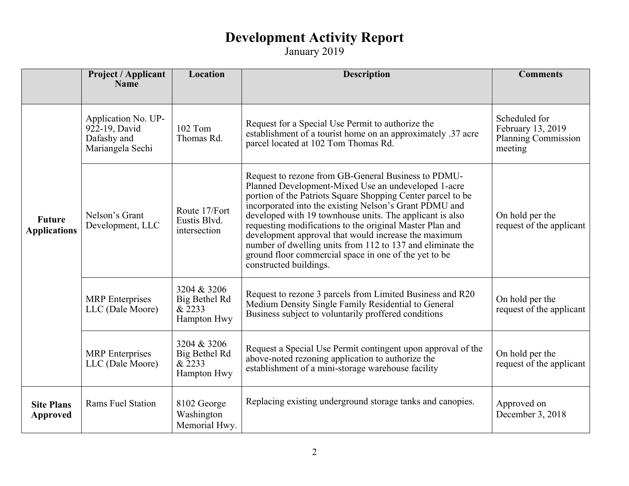|                                      | Project / Applicant<br><b>Name</b>                                      | Location                                              | <b>Description</b>                                                                                                                                                                                                                                                                                                                                                                                                                                                                                                                                                   | <b>Comments</b>                                                             |
|--------------------------------------|-------------------------------------------------------------------------|-------------------------------------------------------|----------------------------------------------------------------------------------------------------------------------------------------------------------------------------------------------------------------------------------------------------------------------------------------------------------------------------------------------------------------------------------------------------------------------------------------------------------------------------------------------------------------------------------------------------------------------|-----------------------------------------------------------------------------|
|                                      |                                                                         |                                                       |                                                                                                                                                                                                                                                                                                                                                                                                                                                                                                                                                                      |                                                                             |
| <b>Future</b><br><b>Applications</b> | Application No. UP-<br>922-19, David<br>Dafashy and<br>Mariangela Sechi | 102 Tom<br>Thomas Rd.                                 | Request for a Special Use Permit to authorize the<br>establishment of a tourist home on an approximately .37 acre<br>parcel located at 102 Tom Thomas Rd.                                                                                                                                                                                                                                                                                                                                                                                                            | Scheduled for<br>February 13, 2019<br><b>Planning Commission</b><br>meeting |
|                                      | Nelson's Grant<br>Development, LLC                                      | Route 17/Fort<br>Eustis Blvd.<br>intersection         | Request to rezone from GB-General Business to PDMU-<br>Planned Development-Mixed Use an undeveloped 1-acre<br>portion of the Patriots Square Shopping Center parcel to be<br>incorporated into the existing Nelson's Grant PDMU and<br>developed with 19 townhouse units. The applicant is also<br>requesting modifications to the original Master Plan and<br>development approval that would increase the maximum<br>number of dwelling units from 112 to 137 and eliminate the<br>ground floor commercial space in one of the yet to be<br>constructed buildings. | On hold per the<br>request of the applicant                                 |
|                                      | <b>MRP</b> Enterprises<br>LLC (Dale Moore)                              | 3204 & 3206<br>Big Bethel Rd<br>& 2233<br>Hampton Hwy | Request to rezone 3 parcels from Limited Business and R20<br>Medium Density Single Family Residential to General<br>Business subject to voluntarily proffered conditions                                                                                                                                                                                                                                                                                                                                                                                             | On hold per the<br>request of the applicant                                 |
|                                      | <b>MRP</b> Enterprises<br>LLC (Dale Moore)                              | 3204 & 3206<br>Big Bethel Rd<br>& 2233<br>Hampton Hwy | Request a Special Use Permit contingent upon approval of the<br>above-noted rezoning application to authorize the<br>establishment of a mini-storage warehouse facility                                                                                                                                                                                                                                                                                                                                                                                              | On hold per the<br>request of the applicant                                 |
| <b>Site Plans</b><br><b>Approved</b> | Rams Fuel Station                                                       | 8102 George<br>Washington<br>Memorial Hwy.            | Replacing existing underground storage tanks and canopies.                                                                                                                                                                                                                                                                                                                                                                                                                                                                                                           | Approved on<br>December 3, 2018                                             |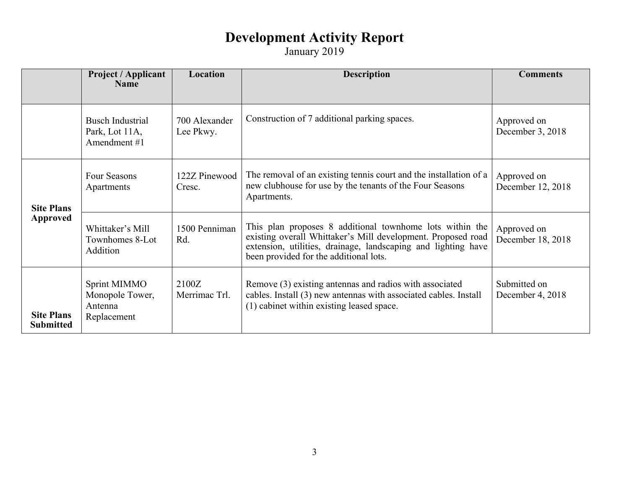|                                       | <b>Project / Applicant</b><br><b>Name</b>                 | Location                   | <b>Description</b>                                                                                                                                                                                                                  | <b>Comments</b>                  |
|---------------------------------------|-----------------------------------------------------------|----------------------------|-------------------------------------------------------------------------------------------------------------------------------------------------------------------------------------------------------------------------------------|----------------------------------|
|                                       | <b>Busch Industrial</b><br>Park, Lot 11A,<br>Amendment #1 | 700 Alexander<br>Lee Pkwy. | Construction of 7 additional parking spaces.                                                                                                                                                                                        | Approved on<br>December 3, 2018  |
| <b>Site Plans</b>                     | Four Seasons<br>Apartments                                | 122Z Pinewood<br>Cresc.    | The removal of an existing tennis court and the installation of a<br>new clubhouse for use by the tenants of the Four Seasons<br>Apartments.                                                                                        | Approved on<br>December 12, 2018 |
| Approved                              | Whittaker's Mill<br>Townhomes 8-Lot<br>Addition           | 1500 Penniman<br>Rd.       | This plan proposes 8 additional townhome lots within the<br>existing overall Whittaker's Mill development. Proposed road<br>extension, utilities, drainage, landscaping and lighting have<br>been provided for the additional lots. | Approved on<br>December 18, 2018 |
| <b>Site Plans</b><br><b>Submitted</b> | Sprint MIMMO<br>Monopole Tower,<br>Antenna<br>Replacement | 2100Z<br>Merrimac Trl.     | Remove (3) existing antennas and radios with associated<br>cables. Install (3) new antennas with associated cables. Install<br>(1) cabinet within existing leased space.                                                            | Submitted on<br>December 4, 2018 |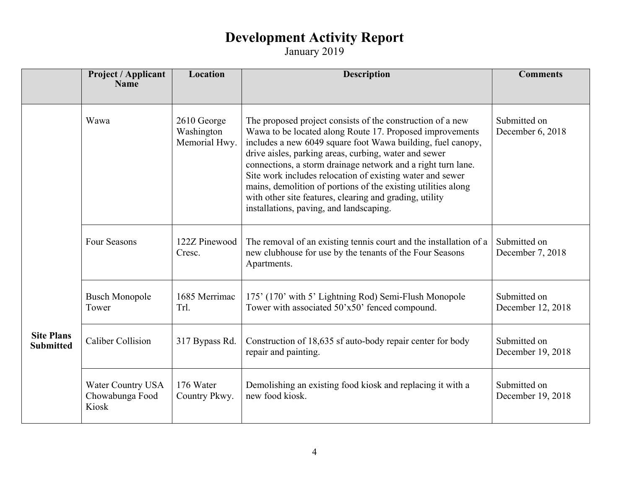|                                       | Project / Applicant<br><b>Name</b>                   | Location                                   | <b>Description</b>                                                                                                                                                                                                                                                                                                                                                                                                                                                                                                                                 | <b>Comments</b>                   |
|---------------------------------------|------------------------------------------------------|--------------------------------------------|----------------------------------------------------------------------------------------------------------------------------------------------------------------------------------------------------------------------------------------------------------------------------------------------------------------------------------------------------------------------------------------------------------------------------------------------------------------------------------------------------------------------------------------------------|-----------------------------------|
|                                       |                                                      |                                            |                                                                                                                                                                                                                                                                                                                                                                                                                                                                                                                                                    |                                   |
|                                       | Wawa                                                 | 2610 George<br>Washington<br>Memorial Hwy. | The proposed project consists of the construction of a new<br>Wawa to be located along Route 17. Proposed improvements<br>includes a new 6049 square foot Wawa building, fuel canopy,<br>drive aisles, parking areas, curbing, water and sewer<br>connections, a storm drainage network and a right turn lane.<br>Site work includes relocation of existing water and sewer<br>mains, demolition of portions of the existing utilities along<br>with other site features, clearing and grading, utility<br>installations, paving, and landscaping. | Submitted on<br>December 6, 2018  |
|                                       | <b>Four Seasons</b>                                  | 122Z Pinewood<br>Cresc.                    | The removal of an existing tennis court and the installation of a<br>new clubhouse for use by the tenants of the Four Seasons<br>Apartments.                                                                                                                                                                                                                                                                                                                                                                                                       | Submitted on<br>December 7, 2018  |
|                                       | <b>Busch Monopole</b><br>Tower                       | 1685 Merrimac<br>Trl.                      | 175' (170' with 5' Lightning Rod) Semi-Flush Monopole<br>Tower with associated 50'x50' fenced compound.                                                                                                                                                                                                                                                                                                                                                                                                                                            | Submitted on<br>December 12, 2018 |
| <b>Site Plans</b><br><b>Submitted</b> | Caliber Collision                                    | 317 Bypass Rd.                             | Construction of 18,635 sf auto-body repair center for body<br>repair and painting.                                                                                                                                                                                                                                                                                                                                                                                                                                                                 | Submitted on<br>December 19, 2018 |
|                                       | <b>Water Country USA</b><br>Chowabunga Food<br>Kiosk | 176 Water<br>Country Pkwy.                 | Demolishing an existing food kiosk and replacing it with a<br>new food kiosk.                                                                                                                                                                                                                                                                                                                                                                                                                                                                      | Submitted on<br>December 19, 2018 |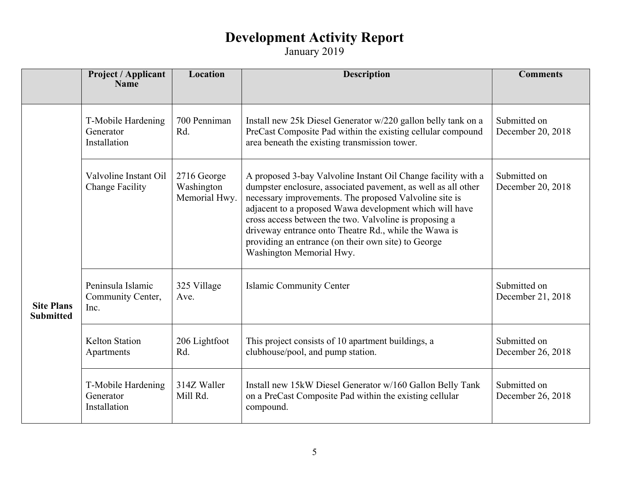|                                       | Project / Applicant<br><b>Name</b>              | Location                                   | <b>Description</b>                                                                                                                                                                                                                                                                                                                                                                                                                                        | <b>Comments</b>                   |
|---------------------------------------|-------------------------------------------------|--------------------------------------------|-----------------------------------------------------------------------------------------------------------------------------------------------------------------------------------------------------------------------------------------------------------------------------------------------------------------------------------------------------------------------------------------------------------------------------------------------------------|-----------------------------------|
|                                       |                                                 |                                            |                                                                                                                                                                                                                                                                                                                                                                                                                                                           |                                   |
|                                       | T-Mobile Hardening<br>Generator<br>Installation | 700 Penniman<br>Rd.                        | Install new 25k Diesel Generator w/220 gallon belly tank on a<br>PreCast Composite Pad within the existing cellular compound<br>area beneath the existing transmission tower.                                                                                                                                                                                                                                                                             | Submitted on<br>December 20, 2018 |
|                                       | Valvoline Instant Oil<br><b>Change Facility</b> | 2716 George<br>Washington<br>Memorial Hwy. | A proposed 3-bay Valvoline Instant Oil Change facility with a<br>dumpster enclosure, associated pavement, as well as all other<br>necessary improvements. The proposed Valvoline site is<br>adjacent to a proposed Wawa development which will have<br>cross access between the two. Valvoline is proposing a<br>driveway entrance onto Theatre Rd., while the Wawa is<br>providing an entrance (on their own site) to George<br>Washington Memorial Hwy. | Submitted on<br>December 20, 2018 |
| <b>Site Plans</b><br><b>Submitted</b> | Peninsula Islamic<br>Community Center,<br>Inc.  | 325 Village<br>Ave.                        | <b>Islamic Community Center</b>                                                                                                                                                                                                                                                                                                                                                                                                                           | Submitted on<br>December 21, 2018 |
|                                       | <b>Kelton Station</b><br>Apartments             | 206 Lightfoot<br>Rd.                       | This project consists of 10 apartment buildings, a<br>clubhouse/pool, and pump station.                                                                                                                                                                                                                                                                                                                                                                   | Submitted on<br>December 26, 2018 |
|                                       | T-Mobile Hardening<br>Generator<br>Installation | 314Z Waller<br>Mill Rd.                    | Install new 15kW Diesel Generator w/160 Gallon Belly Tank<br>on a PreCast Composite Pad within the existing cellular<br>compound.                                                                                                                                                                                                                                                                                                                         | Submitted on<br>December 26, 2018 |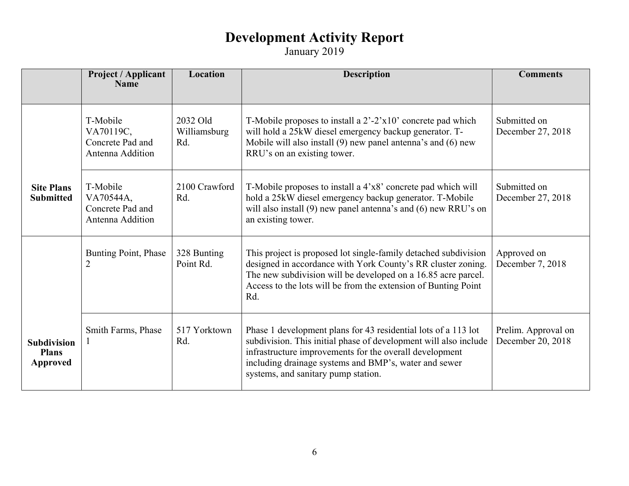|                                                       | Project / Applicant<br><b>Name</b>                            | <b>Location</b>                 | <b>Description</b>                                                                                                                                                                                                                                                                            | <b>Comments</b>                          |
|-------------------------------------------------------|---------------------------------------------------------------|---------------------------------|-----------------------------------------------------------------------------------------------------------------------------------------------------------------------------------------------------------------------------------------------------------------------------------------------|------------------------------------------|
|                                                       |                                                               |                                 |                                                                                                                                                                                                                                                                                               |                                          |
|                                                       | T-Mobile<br>VA70119C,<br>Concrete Pad and<br>Antenna Addition | 2032 Old<br>Williamsburg<br>Rd. | T-Mobile proposes to install a $2'-2'x10'$ concrete pad which<br>will hold a 25kW diesel emergency backup generator. T-<br>Mobile will also install (9) new panel antenna's and (6) new<br>RRU's on an existing tower.                                                                        | Submitted on<br>December 27, 2018        |
| <b>Site Plans</b><br><b>Submitted</b>                 | T-Mobile<br>VA70544A,<br>Concrete Pad and<br>Antenna Addition | 2100 Crawford<br>Rd.            | T-Mobile proposes to install a 4'x8' concrete pad which will<br>hold a 25kW diesel emergency backup generator. T-Mobile<br>will also install $(9)$ new panel antenna's and $(6)$ new RRU's on<br>an existing tower.                                                                           | Submitted on<br>December 27, 2018        |
|                                                       | <b>Bunting Point, Phase</b><br>$\overline{2}$                 | 328 Bunting<br>Point Rd.        | This project is proposed lot single-family detached subdivision<br>designed in accordance with York County's RR cluster zoning.<br>The new subdivision will be developed on a 16.85 acre parcel.<br>Access to the lots will be from the extension of Bunting Point<br>Rd.                     | Approved on<br>December 7, 2018          |
| <b>Subdivision</b><br><b>Plans</b><br><b>Approved</b> | Smith Farms, Phase                                            | 517 Yorktown<br>Rd.             | Phase 1 development plans for 43 residential lots of a 113 lot<br>subdivision. This initial phase of development will also include<br>infrastructure improvements for the overall development<br>including drainage systems and BMP's, water and sewer<br>systems, and sanitary pump station. | Prelim. Approval on<br>December 20, 2018 |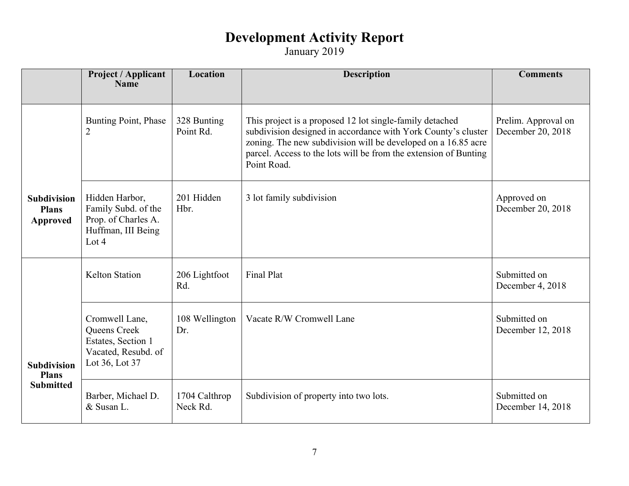|                                                | Project / Applicant<br><b>Name</b>                                                            | Location                  | <b>Description</b>                                                                                                                                                                                                                                                            | <b>Comments</b>                          |
|------------------------------------------------|-----------------------------------------------------------------------------------------------|---------------------------|-------------------------------------------------------------------------------------------------------------------------------------------------------------------------------------------------------------------------------------------------------------------------------|------------------------------------------|
|                                                | <b>Bunting Point, Phase</b><br>2                                                              | 328 Bunting<br>Point Rd.  | This project is a proposed 12 lot single-family detached<br>subdivision designed in accordance with York County's cluster<br>zoning. The new subdivision will be developed on a 16.85 acre<br>parcel. Access to the lots will be from the extension of Bunting<br>Point Road. | Prelim. Approval on<br>December 20, 2018 |
| <b>Subdivision</b><br><b>Plans</b><br>Approved | Hidden Harbor,<br>Family Subd. of the<br>Prop. of Charles A.<br>Huffman, III Being<br>Lot $4$ | 201 Hidden<br>Hbr.        | 3 lot family subdivision                                                                                                                                                                                                                                                      | Approved on<br>December 20, 2018         |
|                                                | <b>Kelton Station</b>                                                                         | 206 Lightfoot<br>Rd.      | <b>Final Plat</b>                                                                                                                                                                                                                                                             | Submitted on<br>December 4, 2018         |
| <b>Subdivision</b><br><b>Plans</b>             | Cromwell Lane,<br>Queens Creek<br>Estates, Section 1<br>Vacated, Resubd. of<br>Lot 36, Lot 37 | 108 Wellington<br>Dr.     | Vacate R/W Cromwell Lane                                                                                                                                                                                                                                                      | Submitted on<br>December 12, 2018        |
| <b>Submitted</b>                               | Barber, Michael D.<br>& Susan L.                                                              | 1704 Calthrop<br>Neck Rd. | Subdivision of property into two lots.                                                                                                                                                                                                                                        | Submitted on<br>December 14, 2018        |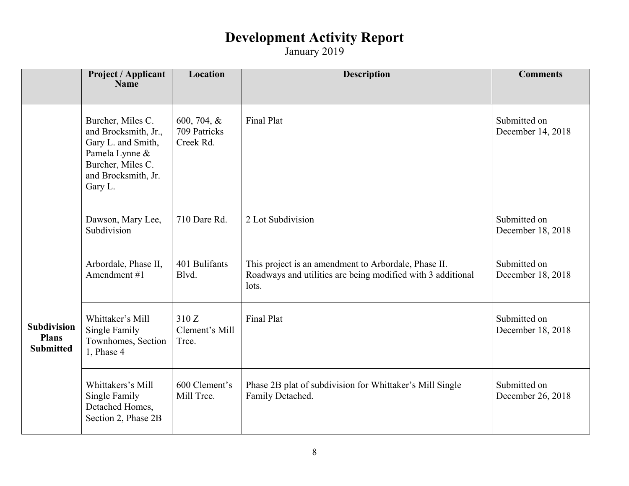|                                                        | <b>Project / Applicant</b><br><b>Name</b>                                                                                                | <b>Location</b>                          | <b>Description</b>                                                                                                           | <b>Comments</b>                   |
|--------------------------------------------------------|------------------------------------------------------------------------------------------------------------------------------------------|------------------------------------------|------------------------------------------------------------------------------------------------------------------------------|-----------------------------------|
|                                                        | Burcher, Miles C.<br>and Brocksmith, Jr.,<br>Gary L. and Smith,<br>Pamela Lynne &<br>Burcher, Miles C.<br>and Brocksmith, Jr.<br>Gary L. | 600, 704, &<br>709 Patricks<br>Creek Rd. | <b>Final Plat</b>                                                                                                            | Submitted on<br>December 14, 2018 |
|                                                        | Dawson, Mary Lee,<br>Subdivision                                                                                                         | 710 Dare Rd.                             | 2 Lot Subdivision                                                                                                            | Submitted on<br>December 18, 2018 |
|                                                        | Arbordale, Phase II,<br>Amendment #1                                                                                                     | 401 Bulifants<br>Blvd.                   | This project is an amendment to Arbordale, Phase II.<br>Roadways and utilities are being modified with 3 additional<br>lots. | Submitted on<br>December 18, 2018 |
| <b>Subdivision</b><br><b>Plans</b><br><b>Submitted</b> | Whittaker's Mill<br>Single Family<br>Townhomes, Section<br>1, Phase 4                                                                    | 310 Z<br>Clement's Mill<br>Trce.         | Final Plat                                                                                                                   | Submitted on<br>December 18, 2018 |
|                                                        | Whittakers's Mill<br>Single Family<br>Detached Homes,<br>Section 2, Phase 2B                                                             | 600 Clement's<br>Mill Trce.              | Phase 2B plat of subdivision for Whittaker's Mill Single<br>Family Detached.                                                 | Submitted on<br>December 26, 2018 |